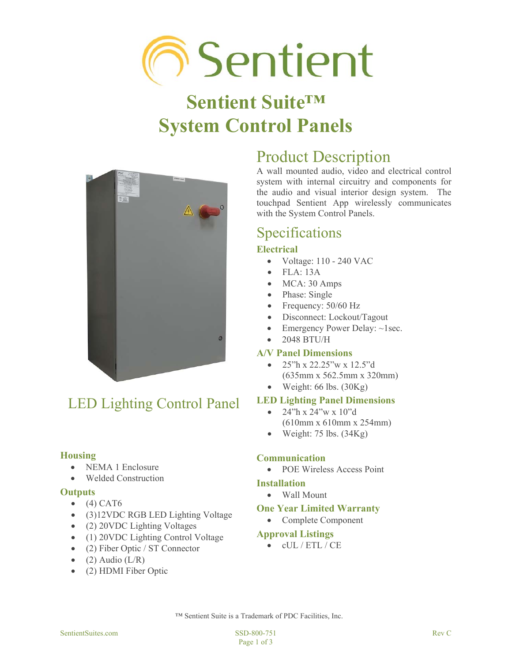

# **Sentient Suite™ System Control Panels**



## LED Lighting Control Panel

#### **Housing**

- NEMA 1 Enclosure
- x Welded Construction

#### **Outputs**

- $\bullet$  (4) CAT6
- (3)12VDC RGB LED Lighting Voltage
- $\bullet$  (2) 20VDC Lighting Voltages
- (1) 20VDC Lighting Control Voltage
- $\bullet$  (2) Fiber Optic / ST Connector
- $(2)$  Audio  $(L/R)$
- (2) HDMI Fiber Optic

## Product Description

A wall mounted audio, video and electrical control system with internal circuitry and components for the audio and visual interior design system. The touchpad Sentient App wirelessly communicates with the System Control Panels.

### Specifications

#### **Electrical**

- $\bullet$  Voltage: 110 240 VAC
- x FLA: 13A
- $\bullet$  MCA: 30 Amps
- $\bullet$  Phase: Single
- Frequency:  $50/60$  Hz
- Disconnect: Lockout/Tagout
- Emergency Power Delay:  $\sim$ 1sec.
- $\bullet$  2048 BTU/H

#### **A/V Panel Dimensions**

- $\bullet$  25"h x 22.25"w x 12.5"d (635mm x 562.5mm x 320mm)
- $\bullet$  Weight: 66 lbs. (30Kg)

#### **LED Lighting Panel Dimensions**

- $24''h \times 24''w \times 10''d$ (610mm x 610mm x 254mm)
- $\bullet$  Weight: 75 lbs. (34Kg)

#### **Communication**

• POE Wireless Access Point

#### **Installation**

• Wall Mount

#### **One Year Limited Warranty**

• Complete Component

#### **Approval Listings**

 $\bullet$  cUL / ETL / CE

™ Sentient Suite is a Trademark of PDC Facilities, Inc.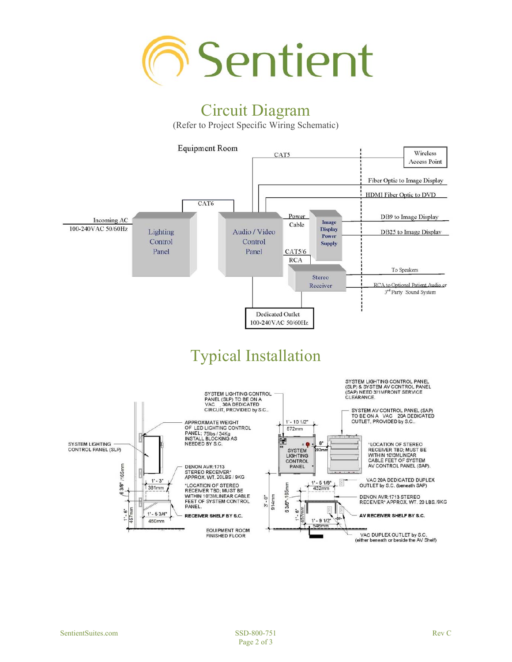

### Circuit Diagram

(Refer to Project Specific Wiring Schematic)